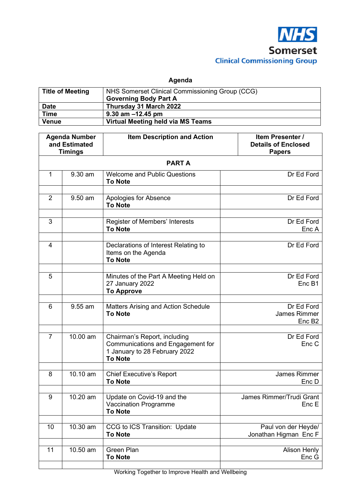

**Agenda** 

| <b>Title of Meeting</b> | NHS Somerset Clinical Commissioning Group (CCG)<br><b>Governing Body Part A</b> |
|-------------------------|---------------------------------------------------------------------------------|
| <b>Date</b>             | Thursday 31 March 2022                                                          |
| <b>Time</b>             | $9.30$ am $-12.45$ pm                                                           |
| <b>Venue</b>            | Virtual Meeting held via MS Teams                                               |

| <b>Agenda Number</b><br>and Estimated           |                        | <b>Item Description and Action</b>                                                                                   | Item Presenter /<br><b>Details of Enclosed</b>          |  |  |
|-------------------------------------------------|------------------------|----------------------------------------------------------------------------------------------------------------------|---------------------------------------------------------|--|--|
| <b>Timings</b><br><b>Papers</b><br><b>PARTA</b> |                        |                                                                                                                      |                                                         |  |  |
| 1                                               | 9.30 am                | <b>Welcome and Public Questions</b><br><b>To Note</b>                                                                | Dr Ed Ford                                              |  |  |
| 2                                               | 9.50 am                | Apologies for Absence<br><b>To Note</b>                                                                              | Dr Ed Ford                                              |  |  |
| 3                                               |                        | Register of Members' Interests<br><b>To Note</b>                                                                     | Dr Ed Ford<br>Enc A                                     |  |  |
| $\overline{4}$                                  |                        | Declarations of Interest Relating to<br>Items on the Agenda<br><b>To Note</b>                                        | Dr Ed Ford                                              |  |  |
| 5                                               |                        | Minutes of the Part A Meeting Held on<br>27 January 2022<br><b>To Approve</b>                                        | Dr Ed Ford<br>Enc B1                                    |  |  |
| 6                                               | 9.55 am                | Matters Arising and Action Schedule<br><b>To Note</b>                                                                | Dr Ed Ford<br><b>James Rimmer</b><br>Enc B <sub>2</sub> |  |  |
| $\overline{7}$                                  | 10.00 am               | Chairman's Report, including<br>Communications and Engagement for<br>1 January to 28 February 2022<br><b>To Note</b> | Dr Ed Ford<br>Enc C                                     |  |  |
| 8                                               | $\overline{10}$ .10 am | <b>Chief Executive's Report</b><br><b>To Note</b>                                                                    | James Rimmer<br>Enc D                                   |  |  |
| 9                                               | 10.20 am               | Update on Covid-19 and the<br><b>Vaccination Programme</b><br><b>To Note</b>                                         | James Rimmer/Trudi Grant<br>Enc E                       |  |  |
| 10                                              | 10.30 am               | CCG to ICS Transition: Update<br><b>To Note</b>                                                                      | Paul von der Heyde/<br>Jonathan Higman Enc F            |  |  |
| 11                                              | 10.50 am               | <b>Green Plan</b><br><b>To Note</b>                                                                                  | Alison Henly<br>Enc G                                   |  |  |